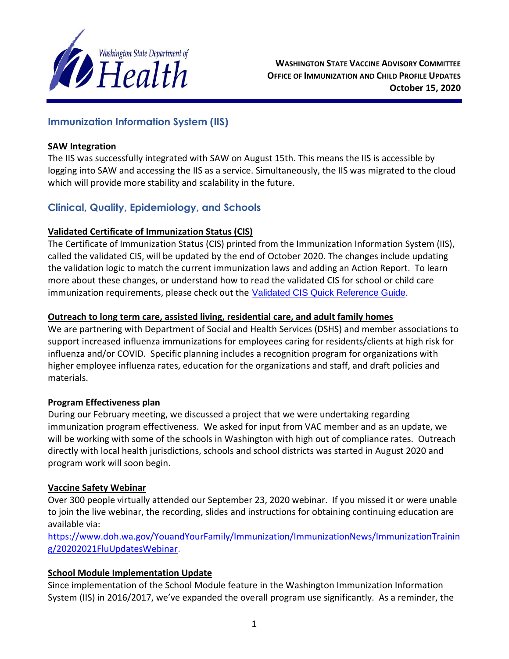

# **Immunization Information System (IIS)**

#### **SAW Integration**

The IIS was successfully integrated with SAW on August 15th. This means the IIS is accessible by logging into SAW and accessing the IIS as a service. Simultaneously, the IIS was migrated to the cloud which will provide more stability and scalability in the future.

# **Clinical, Quality, Epidemiology, and Schools**

### **Validated Certificate of Immunization Status (CIS)**

The Certificate of Immunization Status (CIS) printed from the Immunization Information System (IIS), called the validated CIS, will be updated by the end of October 2020. The changes include updating the validation logic to match the current immunization laws and adding an Action Report. To learn more about these changes, or understand how to read the validated CIS for school or child care immunization requirements, please check out the [Validated CIS Quick Reference Guide.](https://gcc02.safelinks.protection.outlook.com/?url=https%3A%2F%2Flnks.gd%2Fl%2FeyJhbGciOiJIUzI1NiJ9.eyJidWxsZXRpbl9saW5rX2lkIjoxMDEsInVyaSI6ImJwMjpjbGljayIsImJ1bGxldGluX2lkIjoiMjAyMDEwMDIuMjgxMDE2MjEiLCJ1cmwiOiJodHRwczovL3d3dy5kb2gud2EuZ292L1BvcnRhbHMvMS9Eb2N1bWVudHMvUHVicy8zNDgtNzY1LVZhbGlkYXRlZENJU1F1aWNrUmVmZXJlbmNlR3VpZGUucGRmIn0.0zNomXkbu83WK2CUw6zaIi8w748r55e4PybRkYIPWww%2Fs%2F679458747%2Fbr%2F86316360907-l&data=02%7C01%7Ckatherine.graff%40doh.wa.gov%7C003662ba69ce42f222c508d866dadeac%7C11d0e217264e400a8ba057dcc127d72d%7C0%7C0%7C637372438687907767&sdata=tzr12cSZRhwTxpV2WG9wT6m%2FXwzr3ej81xMxB6s9hbk%3D&reserved=0)

### **Outreach to long term care, assisted living, residential care, and adult family homes**

We are partnering with Department of Social and Health Services (DSHS) and member associations to support increased influenza immunizations for employees caring for residents/clients at high risk for influenza and/or COVID. Specific planning includes a recognition program for organizations with higher employee influenza rates, education for the organizations and staff, and draft policies and materials.

### **Program Effectiveness plan**

During our February meeting, we discussed a project that we were undertaking regarding immunization program effectiveness. We asked for input from VAC member and as an update, we will be working with some of the schools in Washington with high out of compliance rates. Outreach directly with local health jurisdictions, schools and school districts was started in August 2020 and program work will soon begin.

### **Vaccine Safety Webinar**

Over 300 people virtually attended our September 23, 2020 webinar. If you missed it or were unable to join the live webinar, the recording, slides and instructions for obtaining continuing education are available via:

[https://www.doh.wa.gov/YouandYourFamily/Immunization/ImmunizationNews/ImmunizationTrainin](https://www.doh.wa.gov/YouandYourFamily/Immunization/ImmunizationNews/ImmunizationTraining/20202021FluUpdatesWebinar) [g/20202021FluUpdatesWebinar.](https://www.doh.wa.gov/YouandYourFamily/Immunization/ImmunizationNews/ImmunizationTraining/20202021FluUpdatesWebinar)

# **School Module Implementation Update**

Since implementation of the School Module feature in the Washington Immunization Information System (IIS) in 2016/2017, we've expanded the overall program use significantly. As a reminder, the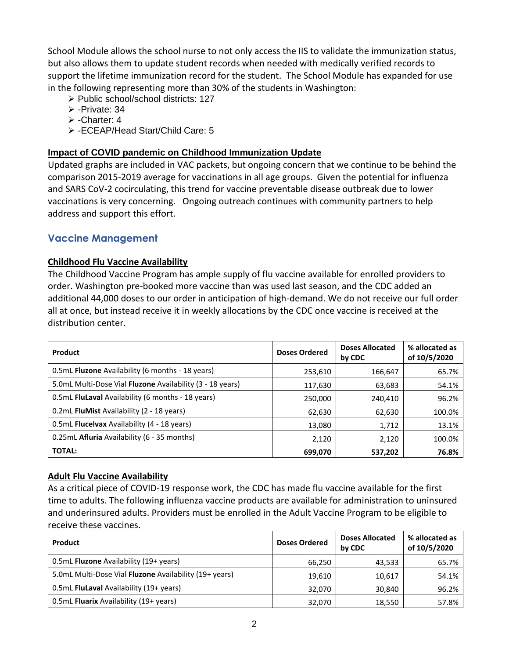School Module allows the school nurse to not only access the IIS to validate the immunization status, but also allows them to update student records when needed with medically verified records to support the lifetime immunization record for the student. The School Module has expanded for use in the following representing more than 30% of the students in Washington:

- ➢ Public school/school districts: 127
- ➢ -Private: 34
- ➢ -Charter: 4
- ➢ -ECEAP/Head Start/Child Care: 5

## **Impact of COVID pandemic on Childhood Immunization Update**

Updated graphs are included in VAC packets, but ongoing concern that we continue to be behind the comparison 2015-2019 average for vaccinations in all age groups. Given the potential for influenza and SARS CoV-2 cocirculating, this trend for vaccine preventable disease outbreak due to lower vaccinations is very concerning. Ongoing outreach continues with community partners to help address and support this effort.

### **Vaccine Management**

### **Childhood Flu Vaccine Availability**

The Childhood Vaccine Program has ample supply of flu vaccine available for enrolled providers to order. Washington pre-booked more vaccine than was used last season, and the CDC added an additional 44,000 doses to our order in anticipation of high-demand. We do not receive our full order all at once, but instead receive it in weekly allocations by the CDC once vaccine is received at the distribution center.

| Product                                                   | <b>Doses Ordered</b> | <b>Doses Allocated</b><br>by CDC | % allocated as<br>of 10/5/2020 |
|-----------------------------------------------------------|----------------------|----------------------------------|--------------------------------|
| 0.5mL Fluzone Availability (6 months - 18 years)          | 253,610              | 166,647                          | 65.7%                          |
| 5.0mL Multi-Dose Vial Fluzone Availability (3 - 18 years) | 117,630              | 63,683                           | 54.1%                          |
| 0.5mL FluLaval Availability (6 months - 18 years)         | 250,000              | 240,410                          | 96.2%                          |
| 0.2mL FluMist Availability (2 - 18 years)                 | 62,630               | 62,630                           | 100.0%                         |
| 0.5mL Flucelvax Availability (4 - 18 years)               | 13,080               | 1,712                            | 13.1%                          |
| 0.25mL Afluria Availability (6 - 35 months)               | 2,120                | 2,120                            | 100.0%                         |
| <b>TOTAL:</b>                                             | 699,070              | 537,202                          | 76.8%                          |

### **Adult Flu Vaccine Availability**

As a critical piece of COVID-19 response work, the CDC has made flu vaccine available for the first time to adults. The following influenza vaccine products are available for administration to uninsured and underinsured adults. Providers must be enrolled in the Adult Vaccine Program to be eligible to receive these vaccines.

| Product                                                | <b>Doses Ordered</b> | <b>Doses Allocated</b><br>by CDC | % allocated as<br>of 10/5/2020 |
|--------------------------------------------------------|----------------------|----------------------------------|--------------------------------|
| 0.5mL Fluzone Availability (19+ years)                 | 66,250               | 43,533                           | 65.7%                          |
| 5.0mL Multi-Dose Vial Fluzone Availability (19+ years) | 19.610               | 10.617                           | 54.1%                          |
| 0.5mL FluLaval Availability (19+ years)                | 32.070               | 30.840                           | 96.2%                          |
| 0.5mL Fluarix Availability (19+ years)                 | 32,070               | 18,550                           | 57.8%                          |